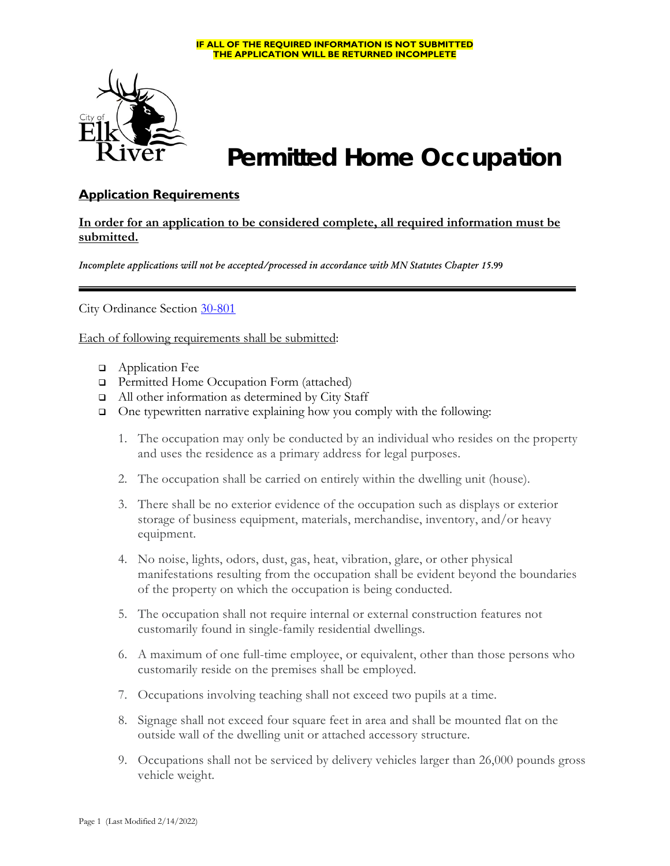#### **IF ALL OF THE REQUIRED INFORMATION IS NOT SUBMITTED THE APPLICATION WILL BE RETURNED INCOMPLETE**



# **Permitted Home Occupation**

### **Application Requirements**

### **In order for an application to be considered complete, all required information must be submitted.**

*Incomplete applications will not be accepted/processed in accordance with MN Statutes Chapter 15***.99**

City Ordinance Section [30-801](https://library.municode.com/mn/elk_river/codes/code_of_ordinances?nodeId=COOR_CH30LADERE_ARTVIZO_DIV5SURE_SDIINGE_S30-801HOOC)

Each of following requirements shall be submitted:

- **Q** Application Fee
- □ Permitted Home Occupation Form (attached)
- All other information as determined by City Staff
- One typewritten narrative explaining how you comply with the following:
	- 1. The occupation may only be conducted by an individual who resides on the property and uses the residence as a primary address for legal purposes.
	- 2. The occupation shall be carried on entirely within the dwelling unit (house).
	- 3. There shall be no exterior evidence of the occupation such as displays or exterior storage of business equipment, materials, merchandise, inventory, and/or heavy equipment.
	- 4. No noise, lights, odors, dust, gas, heat, vibration, glare, or other physical manifestations resulting from the occupation shall be evident beyond the boundaries of the property on which the occupation is being conducted.
	- 5. The occupation shall not require internal or external construction features not customarily found in single-family residential dwellings.
	- 6. A maximum of one full-time employee, or equivalent, other than those persons who customarily reside on the premises shall be employed.
	- 7. Occupations involving teaching shall not exceed two pupils at a time.
	- 8. Signage shall not exceed four square feet in area and shall be mounted flat on the outside wall of the dwelling unit or attached accessory structure.
	- 9. Occupations shall not be serviced by delivery vehicles larger than 26,000 pounds gross vehicle weight.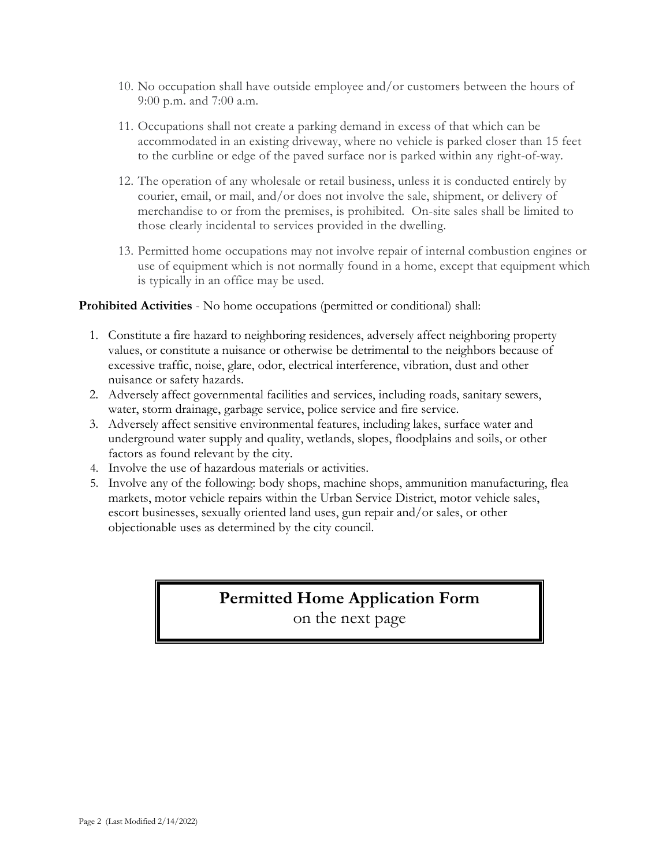- 10. No occupation shall have outside employee and/or customers between the hours of 9:00 p.m. and 7:00 a.m.
- 11. Occupations shall not create a parking demand in excess of that which can be accommodated in an existing driveway, where no vehicle is parked closer than 15 feet to the curbline or edge of the paved surface nor is parked within any right-of-way.
- 12. The operation of any wholesale or retail business, unless it is conducted entirely by courier, email, or mail, and/or does not involve the sale, shipment, or delivery of merchandise to or from the premises, is prohibited. On-site sales shall be limited to those clearly incidental to services provided in the dwelling.
- 13. Permitted home occupations may not involve repair of internal combustion engines or use of equipment which is not normally found in a home, except that equipment which is typically in an office may be used.

#### **Prohibited Activities** - No home occupations (permitted or conditional) shall:

- 1. Constitute a fire hazard to neighboring residences, adversely affect neighboring property values, or constitute a nuisance or otherwise be detrimental to the neighbors because of excessive traffic, noise, glare, odor, electrical interference, vibration, dust and other nuisance or safety hazards.
- 2. Adversely affect governmental facilities and services, including roads, sanitary sewers, water, storm drainage, garbage service, police service and fire service.
- 3. Adversely affect sensitive environmental features, including lakes, surface water and underground water supply and quality, wetlands, slopes, floodplains and soils, or other factors as found relevant by the city.
- 4. Involve the use of hazardous materials or activities.
- 5. Involve any of the following: body shops, machine shops, ammunition manufacturing, flea markets, motor vehicle repairs within the Urban Service District, motor vehicle sales, escort businesses, sexually oriented land uses, gun repair and/or sales, or other objectionable uses as determined by the city council.

### **Permitted Home Application Form** on the next page